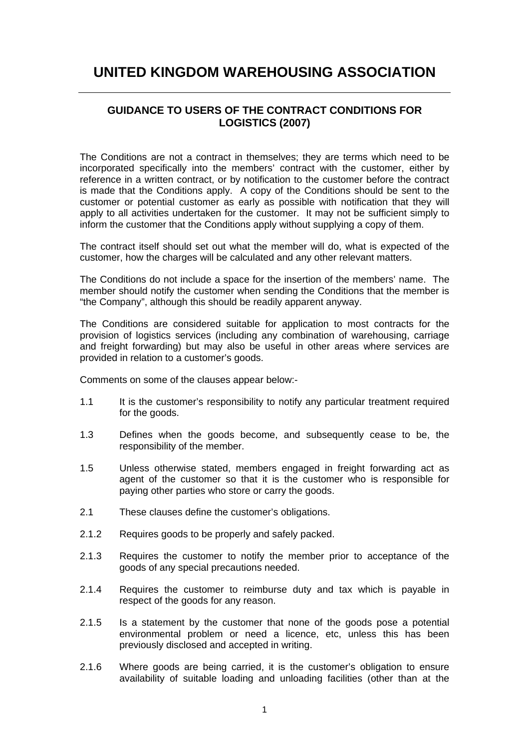## **UNITED KINGDOM WAREHOUSING ASSOCIATION**

## **GUIDANCE TO USERS OF THE CONTRACT CONDITIONS FOR LOGISTICS (2007)**

The Conditions are not a contract in themselves; they are terms which need to be incorporated specifically into the members' contract with the customer, either by reference in a written contract, or by notification to the customer before the contract is made that the Conditions apply. A copy of the Conditions should be sent to the customer or potential customer as early as possible with notification that they will apply to all activities undertaken for the customer. It may not be sufficient simply to inform the customer that the Conditions apply without supplying a copy of them.

The contract itself should set out what the member will do, what is expected of the customer, how the charges will be calculated and any other relevant matters.

The Conditions do not include a space for the insertion of the members' name. The member should notify the customer when sending the Conditions that the member is "the Company", although this should be readily apparent anyway.

The Conditions are considered suitable for application to most contracts for the provision of logistics services (including any combination of warehousing, carriage and freight forwarding) but may also be useful in other areas where services are provided in relation to a customer's goods.

Comments on some of the clauses appear below:-

- 1.1 It is the customer's responsibility to notify any particular treatment required for the goods.
- 1.3 Defines when the goods become, and subsequently cease to be, the responsibility of the member.
- 1.5 Unless otherwise stated, members engaged in freight forwarding act as agent of the customer so that it is the customer who is responsible for paying other parties who store or carry the goods.
- 2.1 These clauses define the customer's obligations.
- 2.1.2 Requires goods to be properly and safely packed.
- 2.1.3 Requires the customer to notify the member prior to acceptance of the goods of any special precautions needed.
- 2.1.4 Requires the customer to reimburse duty and tax which is payable in respect of the goods for any reason.
- 2.1.5 Is a statement by the customer that none of the goods pose a potential environmental problem or need a licence, etc, unless this has been previously disclosed and accepted in writing.
- 2.1.6 Where goods are being carried, it is the customer's obligation to ensure availability of suitable loading and unloading facilities (other than at the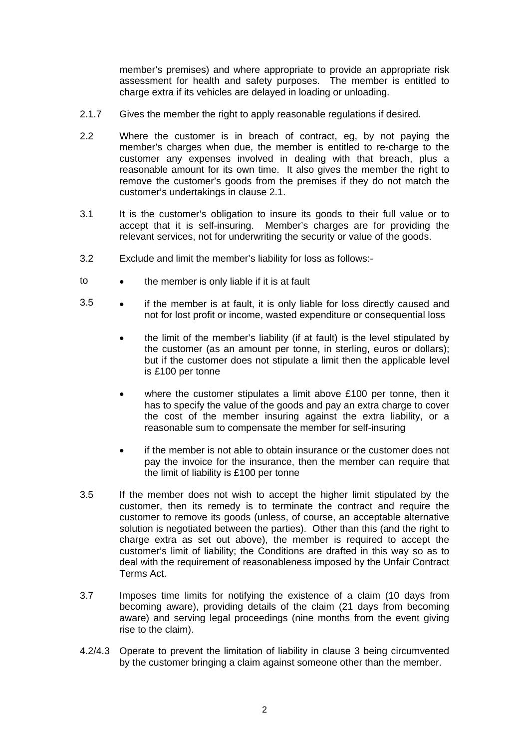member's premises) and where appropriate to provide an appropriate risk assessment for health and safety purposes. The member is entitled to charge extra if its vehicles are delayed in loading or unloading.

- 2.1.7 Gives the member the right to apply reasonable regulations if desired.
- 2.2 Where the customer is in breach of contract, eg, by not paying the member's charges when due, the member is entitled to re-charge to the customer any expenses involved in dealing with that breach, plus a reasonable amount for its own time. It also gives the member the right to remove the customer's goods from the premises if they do not match the customer's undertakings in clause 2.1.
- 3.1 It is the customer's obligation to insure its goods to their full value or to accept that it is self-insuring. Member's charges are for providing the relevant services, not for underwriting the security or value of the goods.
- 3.2 Exclude and limit the member's liability for loss as follows:-
- to the member is only liable if it is at fault
- 3.5 • if the member is at fault, it is only liable for loss directly caused and not for lost profit or income, wasted expenditure or consequential loss
	- the limit of the member's liability (if at fault) is the level stipulated by the customer (as an amount per tonne, in sterling, euros or dollars); but if the customer does not stipulate a limit then the applicable level is £100 per tonne
	- where the customer stipulates a limit above £100 per tonne, then it has to specify the value of the goods and pay an extra charge to cover the cost of the member insuring against the extra liability, or a reasonable sum to compensate the member for self-insuring
	- if the member is not able to obtain insurance or the customer does not pay the invoice for the insurance, then the member can require that the limit of liability is £100 per tonne
- 3.5 If the member does not wish to accept the higher limit stipulated by the customer, then its remedy is to terminate the contract and require the customer to remove its goods (unless, of course, an acceptable alternative solution is negotiated between the parties). Other than this (and the right to charge extra as set out above), the member is required to accept the customer's limit of liability; the Conditions are drafted in this way so as to deal with the requirement of reasonableness imposed by the Unfair Contract Terms Act.
- 3.7 Imposes time limits for notifying the existence of a claim (10 days from becoming aware), providing details of the claim (21 days from becoming aware) and serving legal proceedings (nine months from the event giving rise to the claim).
- 4.2/4.3 Operate to prevent the limitation of liability in clause 3 being circumvented by the customer bringing a claim against someone other than the member.